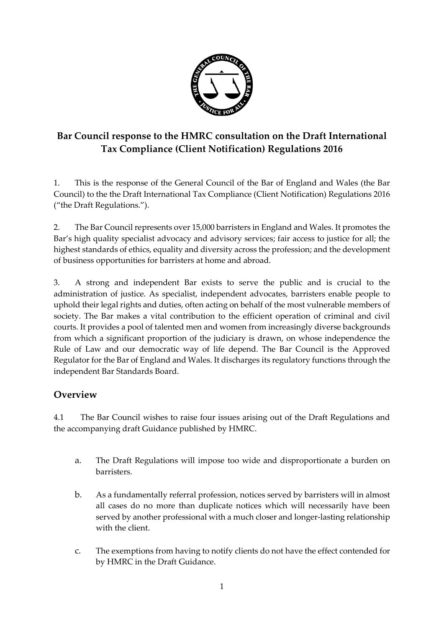

# **Bar Council response to the HMRC consultation on the Draft International Tax Compliance (Client Notification) Regulations 2016**

1. This is the response of the General Council of the Bar of England and Wales (the Bar Council) to the the Draft International Tax Compliance (Client Notification) Regulations 2016 ("the Draft Regulations.").

2. The Bar Council represents over 15,000 barristers in England and Wales. It promotes the Bar's high quality specialist advocacy and advisory services; fair access to justice for all; the highest standards of ethics, equality and diversity across the profession; and the development of business opportunities for barristers at home and abroad.

3. A strong and independent Bar exists to serve the public and is crucial to the administration of justice. As specialist, independent advocates, barristers enable people to uphold their legal rights and duties, often acting on behalf of the most vulnerable members of society. The Bar makes a vital contribution to the efficient operation of criminal and civil courts. It provides a pool of talented men and women from increasingly diverse backgrounds from which a significant proportion of the judiciary is drawn, on whose independence the Rule of Law and our democratic way of life depend. The Bar Council is the Approved Regulator for the Bar of England and Wales. It discharges its regulatory functions through the independent Bar Standards Board.

## **Overview**

4.1 The Bar Council wishes to raise four issues arising out of the Draft Regulations and the accompanying draft Guidance published by HMRC.

- a. The Draft Regulations will impose too wide and disproportionate a burden on **barristers**
- b. As a fundamentally referral profession, notices served by barristers will in almost all cases do no more than duplicate notices which will necessarily have been served by another professional with a much closer and longer-lasting relationship with the client.
- c. The exemptions from having to notify clients do not have the effect contended for by HMRC in the Draft Guidance.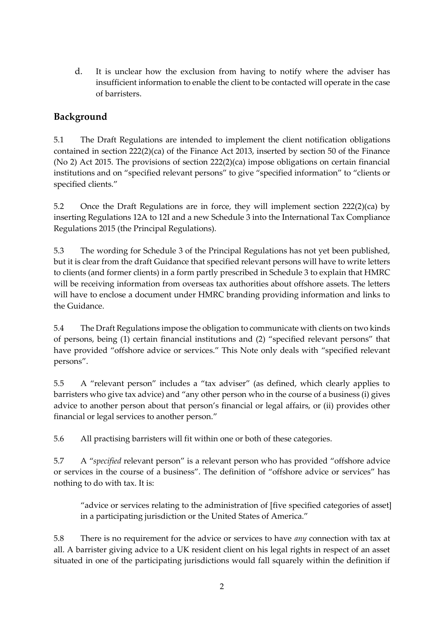d. It is unclear how the exclusion from having to notify where the adviser has insufficient information to enable the client to be contacted will operate in the case of barristers.

## **Background**

5.1 The Draft Regulations are intended to implement the client notification obligations contained in section 222(2)(ca) of the Finance Act 2013, inserted by section 50 of the Finance (No 2) Act 2015. The provisions of section 222(2)(ca) impose obligations on certain financial institutions and on "specified relevant persons" to give "specified information" to "clients or specified clients."

5.2 Once the Draft Regulations are in force, they will implement section  $222(2)(ca)$  by inserting Regulations 12A to 12I and a new Schedule 3 into the International Tax Compliance Regulations 2015 (the Principal Regulations).

5.3 The wording for Schedule 3 of the Principal Regulations has not yet been published, but it is clear from the draft Guidance that specified relevant persons will have to write letters to clients (and former clients) in a form partly prescribed in Schedule 3 to explain that HMRC will be receiving information from overseas tax authorities about offshore assets. The letters will have to enclose a document under HMRC branding providing information and links to the Guidance.

5.4 The Draft Regulations impose the obligation to communicate with clients on two kinds of persons, being (1) certain financial institutions and (2) "specified relevant persons" that have provided "offshore advice or services." This Note only deals with "specified relevant persons".

5.5 A "relevant person" includes a "tax adviser" (as defined, which clearly applies to barristers who give tax advice) and "any other person who in the course of a business (i) gives advice to another person about that person's financial or legal affairs, or (ii) provides other financial or legal services to another person."

5.6 All practising barristers will fit within one or both of these categories.

5.7 A "*specified* relevant person" is a relevant person who has provided "offshore advice or services in the course of a business". The definition of "offshore advice or services" has nothing to do with tax. It is:

"advice or services relating to the administration of [five specified categories of asset] in a participating jurisdiction or the United States of America."

5.8 There is no requirement for the advice or services to have *any* connection with tax at all. A barrister giving advice to a UK resident client on his legal rights in respect of an asset situated in one of the participating jurisdictions would fall squarely within the definition if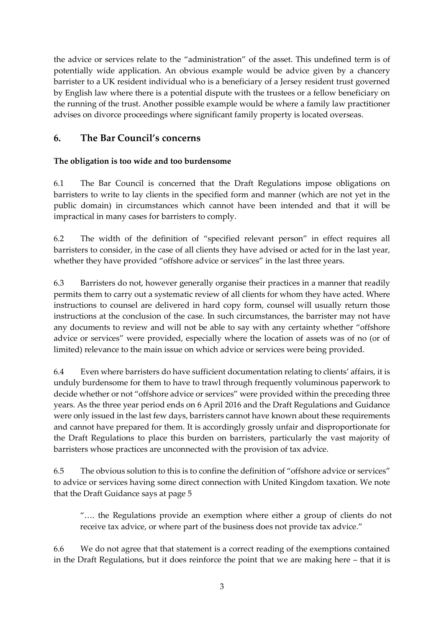the advice or services relate to the "administration" of the asset. This undefined term is of potentially wide application. An obvious example would be advice given by a chancery barrister to a UK resident individual who is a beneficiary of a Jersey resident trust governed by English law where there is a potential dispute with the trustees or a fellow beneficiary on the running of the trust. Another possible example would be where a family law practitioner advises on divorce proceedings where significant family property is located overseas.

### **6. The Bar Council's concerns**

#### **The obligation is too wide and too burdensome**

6.1 The Bar Council is concerned that the Draft Regulations impose obligations on barristers to write to lay clients in the specified form and manner (which are not yet in the public domain) in circumstances which cannot have been intended and that it will be impractical in many cases for barristers to comply.

6.2 The width of the definition of "specified relevant person" in effect requires all barristers to consider, in the case of all clients they have advised or acted for in the last year, whether they have provided "offshore advice or services" in the last three years.

6.3 Barristers do not, however generally organise their practices in a manner that readily permits them to carry out a systematic review of all clients for whom they have acted. Where instructions to counsel are delivered in hard copy form, counsel will usually return those instructions at the conclusion of the case. In such circumstances, the barrister may not have any documents to review and will not be able to say with any certainty whether "offshore advice or services" were provided, especially where the location of assets was of no (or of limited) relevance to the main issue on which advice or services were being provided.

6.4 Even where barristers do have sufficient documentation relating to clients' affairs, it is unduly burdensome for them to have to trawl through frequently voluminous paperwork to decide whether or not "offshore advice or services" were provided within the preceding three years. As the three year period ends on 6 April 2016 and the Draft Regulations and Guidance were only issued in the last few days, barristers cannot have known about these requirements and cannot have prepared for them. It is accordingly grossly unfair and disproportionate for the Draft Regulations to place this burden on barristers, particularly the vast majority of barristers whose practices are unconnected with the provision of tax advice.

6.5 The obvious solution to this is to confine the definition of "offshore advice or services" to advice or services having some direct connection with United Kingdom taxation. We note that the Draft Guidance says at page 5

"…. the Regulations provide an exemption where either a group of clients do not receive tax advice, or where part of the business does not provide tax advice."

6.6 We do not agree that that statement is a correct reading of the exemptions contained in the Draft Regulations, but it does reinforce the point that we are making here – that it is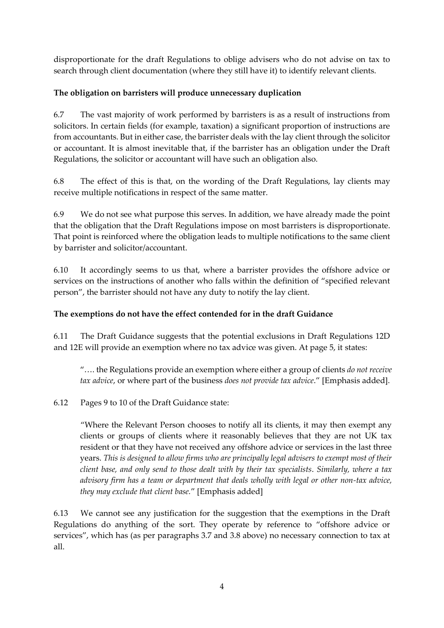disproportionate for the draft Regulations to oblige advisers who do not advise on tax to search through client documentation (where they still have it) to identify relevant clients.

#### **The obligation on barristers will produce unnecessary duplication**

6.7 The vast majority of work performed by barristers is as a result of instructions from solicitors. In certain fields (for example, taxation) a significant proportion of instructions are from accountants. But in either case, the barrister deals with the lay client through the solicitor or accountant. It is almost inevitable that, if the barrister has an obligation under the Draft Regulations, the solicitor or accountant will have such an obligation also.

6.8 The effect of this is that, on the wording of the Draft Regulations, lay clients may receive multiple notifications in respect of the same matter.

6.9 We do not see what purpose this serves. In addition, we have already made the point that the obligation that the Draft Regulations impose on most barristers is disproportionate. That point is reinforced where the obligation leads to multiple notifications to the same client by barrister and solicitor/accountant.

6.10 It accordingly seems to us that, where a barrister provides the offshore advice or services on the instructions of another who falls within the definition of "specified relevant person", the barrister should not have any duty to notify the lay client.

#### **The exemptions do not have the effect contended for in the draft Guidance**

6.11 The Draft Guidance suggests that the potential exclusions in Draft Regulations 12D and 12E will provide an exemption where no tax advice was given. At page 5, it states:

"…. the Regulations provide an exemption where either a group of clients *do not receive tax advice*, or where part of the business *does not provide tax advice*." [Emphasis added].

#### 6.12 Pages 9 to 10 of the Draft Guidance state:

"Where the Relevant Person chooses to notify all its clients, it may then exempt any clients or groups of clients where it reasonably believes that they are not UK tax resident or that they have not received any offshore advice or services in the last three years. *This is designed to allow firms who are principally legal advisers to exempt most of their client base, and only send to those dealt with by their tax specialists*. *Similarly, where a tax advisory firm has a team or department that deals wholly with legal or other non-tax advice, they may exclude that client base.*" [Emphasis added]

6.13 We cannot see any justification for the suggestion that the exemptions in the Draft Regulations do anything of the sort. They operate by reference to "offshore advice or services", which has (as per paragraphs 3.7 and 3.8 above) no necessary connection to tax at all.